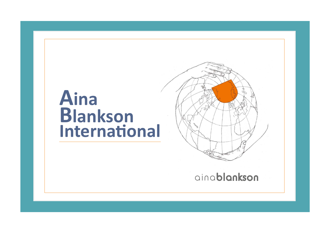## **Aina Blankson International**



ainablankson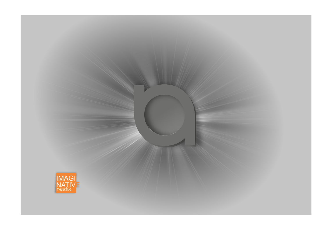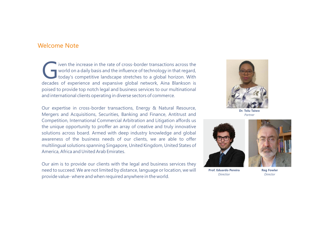#### Welcome Note

**iven the increase in the rate of cross-border transactions across the world on a daily basis and the influence of technology in that regard, today's competitive landscape stretches to a global horizon. With decades of exp** today's competitive landscape stretches to a global horizon. With decades of experience and expansive global network, Aina Blankson is poised to provide top notch legal and business services to our multinational and international clients operating in diverse sectors of commerce.

Our expertise in cross-border transactions, Energy & Natural Resource, Mergers and Acquisitions, Securities, Banking and Finance, Antitrust and Competition, International Commercial Arbitration and Litigation affords us the unique opportunity to proffer an array of creative and truly innovative solutions across board. Armed with deep industry knowledge and global awareness of the business needs of our clients, we are able to offer multilingual solutions spanning Singapore, United Kingdom, United States of America, Africa and United Arab Emirates.

Our aim is to provide our clients with the legal and business services they need to succeed. We are not limited by distance, language or location, we will provide value- where and when required anywhere in the world.



**Dr. Tolu Taiwo** *Partner*



**Prof. Eduardo Pereira** *Directior*

**Reg Fowler** *Director*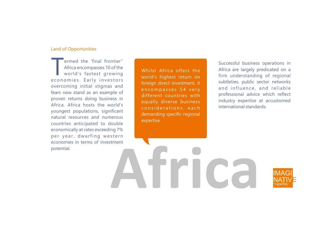#### Land of Opportunities

ermed the 'final frontier''<br>Africa encompasses 10 of the<br>world's fastest growing<br>economies. Early investors world's fastest growing overcoming initial stigmas and fears now stand as an example of proven returns doing business in Africa. Africa hosts the world's youngest populations, significant natural resources and numerous countries anticipated to double economically at rates exceeding 7% per year, dwarfing western economies in terms of investment potential.

Whilst Africa offers the world's highest return on foreign direct investment, it encompasses 54 very different countries with equally diverse business considerations, each demanding specific regional expertise.

Successful business operations in Africa are largely predicated on a firm understanding of regional subtleties, public sector networks and influence, and reliable professional advice which reflect industry expertise at accustomed international standards.

**Africa**

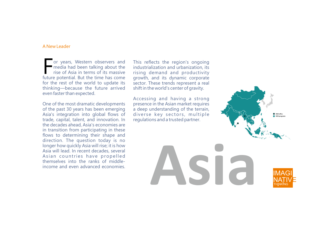#### A New Leader

or years, Western observers and<br>media had been talking about the<br>rise of Asia in terms of its massive<br>future potential. But the time has come or years, Western observers and media had been talking about the rise of Asia in terms of its massive for the rest of the world to update its thinking—because the future arrived even faster than expected.

One of the most dramatic developments of the past 30 years has been emerging Asia's integration into global flows of trade, capital, talent, and innovation. In the decades ahead, Asia's economies are in transition from participating in these flows to determining their shape and direction. The question today is no longer how quickly Asia will rise; it is how Asia will lead. In recent decades, several Asian countries have propelled themselves into the ranks of middleincome and even advanced economies.

This reflects the region's ongoing industrialization and urbanization, its rising demand and productivity growth, and its dynamic corporate sector. These trends represent a real shift in the world's center of gravity.

Accessing and having a strong presence in the Asian market requires a deep understanding of the terrain, diverse key sectors, multiple regulations and a trusted partner.



THINKING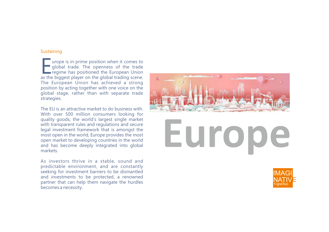#### **Sustaining**

 $\blacksquare$  urope is in prime position when it comes to  $\blacksquare$  global trade. The openness of the trade regime has positioned the European Union as the biggest player on the global trading scene. The European Union has achieved a strong position by acting together with one voice on the global stage, rather than with separate trade strategies.

The EU is an attractive market to do business with. With over 500 million consumers looking for quality goods, the world's largest single market with transparent rules and regulations and secure legal investment framework that is amongst the most open in the world, Europe provides the most open market to developing countries in the world and has become deeply integrated into global markets.

As investors thrive in a stable, sound and predictable environment, and are constantly seeking for investment barriers to be dismantled and investments to be protected, a renowned partner that can help them navigate the hurdles becomes a necessity.



## **Europe**

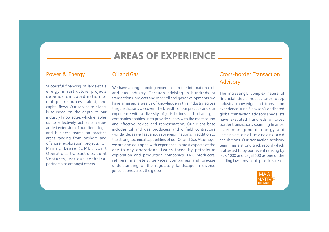### **AREAS OF EXPERIENCE**

#### Power & Energy

#### Oil and Gas:

Successful financing of large-scale energy infrastructure projects depends on coordination of multiple resources, talent, and capital flows. Our service to clients is founded on the depth of our industry knowledge, which enables us to effectively act as a valueadded extension of our clients legal and business teams on practice areas ranging from onshore and offshore exploration projects, Oil Mining Lease (OML), Joint Operations transactions, Joint Ventures, various technical partnerships amongst others.

We have a long-standing experience in the international oil and gas industry. Through advising in hundreds of transactions, projects and other oil and gas developments, we have amassed a wealth of knowledge in this industry across the jurisdictions we cover. The breadth of our practice and our experience with a diversity of jurisdictions and oil and gas companies enables us to provide clients with the most sound and effective advice and representation. Our client base includes oil and gas producers and oilfield contractors worldwide, as well as various sovereign nations. In addition to the strong technical capabilities of our Oil and Gas Attorneys, we are also equipped with experience in most aspects of the day-to-day operational issues faced by petroleum exploration and production companies, LNG producers, refiners, marketers, services companies and precise understanding of the regulatory landscape in diverse jurisdictions across the globe.

#### Cross-border Transaction Advisory:

The increasingly complex nature of financial deals necessitates deep industry knowledge and transaction experience. Aina Blankson's dedicated global transaction advisory specialists have executed hundreds of cross border transactions spanning finance, asset management, energy and international mergers and acquisitions. Our transaction advisory team has a strong track record which is attested to by our recent ranking by IFLR 1000 and Legal 500 as one of the leading law firms in this practice area.

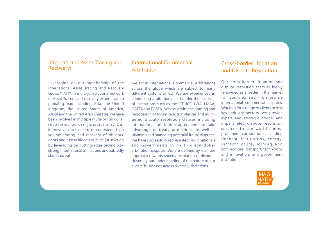#### International Asset Tracing and Recovery:

Leveraging on our membership of the International Asset Tracing and Recovery Group ("IATR"); a multi-jurisdictional network of Asset Tracers and recovery experts with a global spread including Asia, the United Kingdom, the United States of America, Africa and the United Arab Emirates, we have been involved in multiple multi-billion dollar recoveries across jurisdictions. Our impressive track record of consistent, high volume tracing and recovery of obligors' debts and assets hidden outside jurisdiction by leveraging on cutting-edge technology, strong international affiliations undoubtedly stands us out.

#### International Commercial Arbitration:

We act in International Commercial Arbitrations across the globe which are subject to many different systems of law. We are experienced in conducting arbitrations held under the auspices of institutions such as the ICE, ICC, LCIA, LMAA, GAFTA and FOSFA . We assist with the drafting and negotiation of forum selection clauses and multitiered dispute resolution clauses including international arbitration agreements to take advantage of treaty protections, as well as planning and managing potential future disputes. We have successfully represented multinationals and Governments in multi-billion dollar arbitration disputes. We are defined by our rare approach towards speedy resolution of disputes driven by our understanding of the nature of our clients' businesses across diverse jurisdictions.

#### Cross-border Litigation and Dispute Resolution:

Our cross-border litigation and dispute resolution team is highly renowned as a leader in the market for complex and high profile international commercial disputes. Working for a range of clients across key industry sectors, we provide expert and strategic advice; and unparalleled dispute resolution services to the world's most prominent corporations including financial institutions; energy; infrastructure, mining and commodities; transport; technology and innovation; and government institutions.

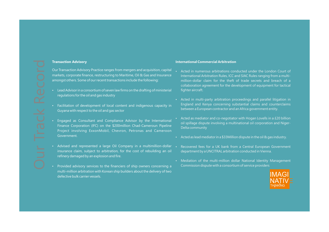#### **Transaction Advisory**

Our Transaction Advisory Practice ranges from mergers and acquisition, capital markets, corporate finance, restructuring to Maritime, Oil & Gas and Insurance amongst others. Some of our recent transactions include the following:

- Lead Advisor in a consortium of seven law firms on the drafting of ministerial regulations for the oil and gas industry
- Facilitation of development of local content and indigenous capacity in Guyana with respect to the oil and gas sector
- Engaged as Consultant and Compliance Advisor by the International Finance Corporation (IFC) on the \$200million Chad-Cameroun Pipeline Project involving ExxonMobil, Chevron, Petronas and Cameroon Government.
- Advised and represented a large Oil Company in a multimillion-dollar . insurance claim, subject to arbitration, for the cost of rebuilding an oil refinery damaged by an explosion and fire.
- Provided advisory services to the financiers of ship owners concerning a multi-million arbitration with Korean ship builders about the delivery of two defective bulk carrier vessels.

#### **International Commercial Arbitration**

- Acted in numerous arbitrations conducted under the London Court of International Arbitration Rules, ICC and SIAC Rules ranging from a multimillion-dollar claim for the theft of trade secrets and breach of a collaboration agreement for the development of equipment for tactical fighter aircraft.
- Acted in multi-party arbitration proceedings and parallel litigation in England and Kenya concerning substantial claims and counterclaims between a European contractor and an Africa government entity.
- Acted as mediator and co-negotiator with Hogan Lovells in a £20 billion oil spillage dispute involving a multinational oil corporation and Niger-Delta community
- $\cdot$  Acted as lead mediator in a \$33Million dispute in the oil & gas industry.
- Recovered fees for a UK bank from a Central European Government department by a UNCITRAL arbitration conducted in Vienna.
- Mediation of the multi-million dollar National Identity Management Commission dispute with a consortium of service providers

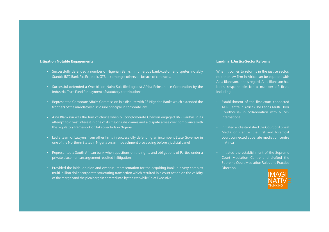#### **Litigation Notable Engagements**

- Successfully defended a number of Nigerian Banks in numerous bank/customer disputes; notably Stanbic IBTC Bank Plc, Ecobank, GTBank amongst others on breach of contracts.
- Successful defended a One billion Naira Suit filed against Africa Reinsurance Corporation by the Industrial Trust Fund for payment of statutory contributions
- Represented Corporate Affairs Commission in a dispute with 23 Nigerian Banks which extended the frontiers of the mandatory disclosure principle in corporate law.
- Aina Blankson was the firm of choice when oil conglomerate Chevron engaged BNP Paribas in its attempt to divest interest in one of its major subsidiaries and a dispute arose over compliance with the regulatory framework on takeover bids in Nigeria.
- Led a team of Lawyers from other firms in successfully defending an incumbent State Governor in one of the Northern States in Nigeria on an impeachment proceeding before a judicial panel;
- Represented a South African bank when questions on the rights and obligations of Parties under a private placement arrangement resulted in litigation;
- Provided the initial opinion and eventual representation for the acquiring Bank in a very complex multi-billion dollar corporate structuring transaction which resulted in a court action on the validity of the merger and the plea bargain entered into by the erstwhile Chief Executive

#### **Landmark Justice Sector Reforms**

When it comes to reforms in the justice sector, no other law firm in Africa can be equated with Aina Blankson. In this regard, Aina Blankson has been responsible for a number of firsts including:

- Establishment of the first court connected ADR Centre in Africa (The Lagos Multi-Door Courthouse) in collaboration with NCMG International
- $\cdot$  Initiated and established the Court of Appeal Mediation Centre, the first and foremost court connected appellate mediation centre in Africa
- Initiated the establishment of the Supreme Court Mediation Centre and drafted the Supreme Court Mediation Rules and Practice Direction.

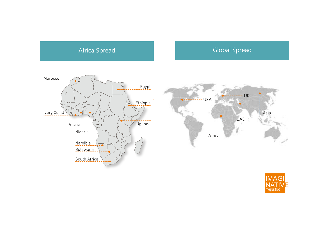### Africa Spread Global Spread Global Spread



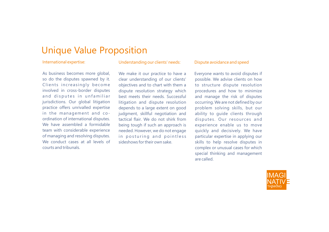## Unique Value Proposition

#### International expertise:

As business becomes more global, so do the disputes spawned by it. Clients increasingly become involved in cross-border disputes and disputes in unfamiliar jurisdictions. Our global litigation practice offers unrivalled expertise in the management and coordination of international disputes. We have assembled a formidable team with considerable experience of managing and resolving disputes. We conduct cases at all levels of courts and tribunals.

#### Understanding our clients' needs:

We make it our practice to have a clear understanding of our clients' objectives and to chart with them a dispute resolution strategy which best meets their needs. Successful litigation and dispute resolution depends to a large extent on good judgment, skillful negotiation and tactical flair. We do not shirk from being tough if such an approach is needed. However, we do not engage in posturing and pointless sideshows for their own sake.

#### Dispute avoidance and speed

Everyone wants to avoid disputes if possible. We advise clients on how to structure dispute resolution procedures and how to minimize and manage the risk of disputes occurring. We are not defined by our problem solving skills, but our ability to guide clients through disputes. Our resources and experience enable us to move quickly and decisively. We have particular expertise in applying our skills to help resolve disputes in complex or unusual cases for which special thinking and management are called.

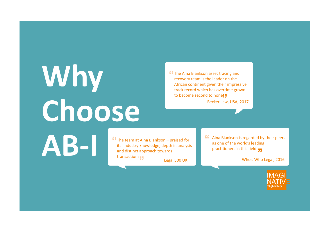# **Why Choose**

**ff** The Aina Blankson asset tracing and recovery team is the leader on the African continent given their impressive track record which has overtime grown to become second to none<sup>1</sup>

Becker Law, USA, 2017

The team at Aina Blankson – praised for<br>its 'industry knowledge, depth in analysi<br>and distinct approach towards its 'industry knowledge, depth in analysis and distinct approach towards transactions  $\blacksquare$ Legal 500 UK

**Allet** Aina Blankson is regarded by their peers as one of the world's leading practitioners in this field  $\blacksquare$ 

Who's Who Legal, 2016

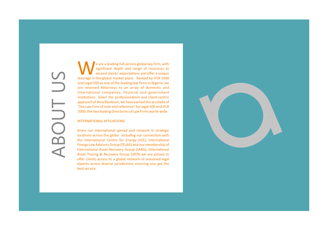ABOUT US╒ BO

.

 $\mathbf{v}$  e are a leading full service global law firm, with significant depth and range of resources to exceed clients' expectations and offer a unique leverage in the global market place. Ranked by IFLR 1000 and Legal 500 as one of the leading law firms in Nigeria, we are retained Attorneys to an array of domestic and international companies, financial and government institutions. Given the professionalism and client-centric approach of Aina Blankson, we have earned the accolade of "the Law Firm of note and reference" by Legal 500 and IFLR 1000, the two leading Directories of Law Firms world-wide.

#### INTERNATIONAL AFFILIATIONS

Given our international spread and network in strategic locations across the globe including our connection with the International Centre for Energy (ICE), International Energy Law Advisory Group (IELAG) and our membership of International Asset Recovery Group (IARG), International Asset Tracing & Recovery Group (IATR) we are poised to offer clients access to a global network of seasoned legal experts across diverse jurisdictions ensuring you get the best service.